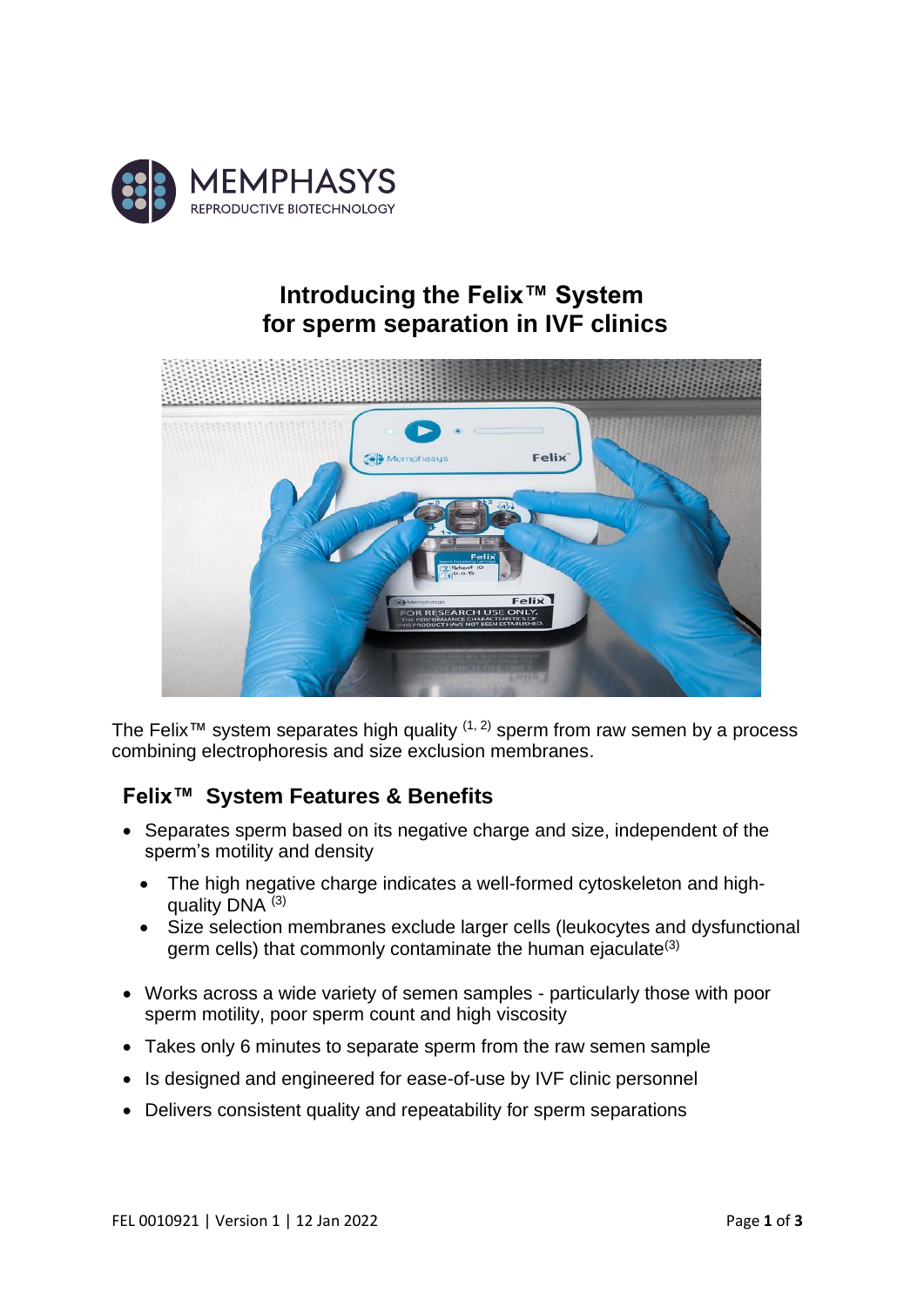

# **Introducing the Felix™ System for sperm separation in IVF clinics**



The Felix<sup>™</sup> system separates high quality  $(1, 2)$  sperm from raw semen by a process combining electrophoresis and size exclusion membranes.

## **Felix™ System Features & Benefits**

- Separates sperm based on its negative charge and size, independent of the sperm's motility and density
	- The high negative charge indicates a well-formed cytoskeleton and highquality DNA (3)
	- Size selection membranes exclude larger cells (leukocytes and dysfunctional germ cells) that commonly contaminate the human ejaculate<sup>(3)</sup>
- Works across a wide variety of semen samples particularly those with poor sperm motility, poor sperm count and high viscosity
- Takes only 6 minutes to separate sperm from the raw semen sample
- Is designed and engineered for ease-of-use by IVF clinic personnel
- Delivers consistent quality and repeatability for sperm separations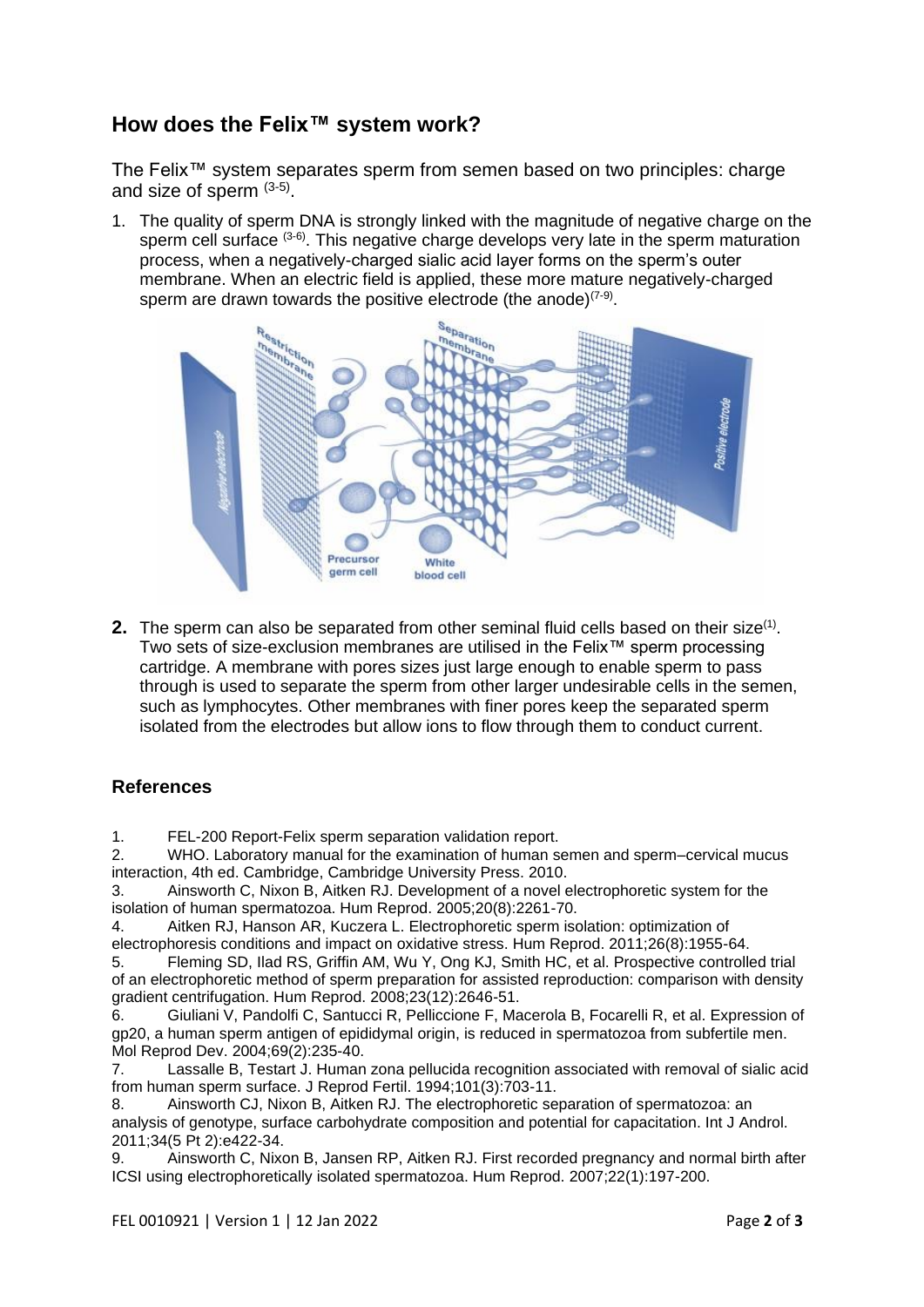### **How does the Felix™ system work?**

The Felix™ system separates sperm from semen based on two principles: charge and size of sperm  $(3-5)$ .

1. The quality of sperm DNA is strongly linked with the magnitude of negative charge on the sperm cell surface <sup>(3-6)</sup>. This negative charge develops very late in the sperm maturation process, when a negatively-charged sialic acid layer forms on the sperm's outer membrane. When an electric field is applied, these more mature negatively-charged sperm are drawn towards the positive electrode (the anode) $(7-9)$ .



**2.** The sperm can also be separated from other seminal fluid cells based on their size<sup>(1)</sup>. Two sets of size-exclusion membranes are utilised in the Felix™ sperm processing cartridge. A membrane with pores sizes just large enough to enable sperm to pass through is used to separate the sperm from other larger undesirable cells in the semen, such as lymphocytes. Other membranes with finer pores keep the separated sperm isolated from the electrodes but allow ions to flow through them to conduct current.

#### **References**

1. FEL-200 Report-Felix sperm separation validation report.

2. WHO. Laboratory manual for the examination of human semen and sperm–cervical mucus interaction, 4th ed. Cambridge, Cambridge University Press. 2010.

3. Ainsworth C, Nixon B, Aitken RJ. Development of a novel electrophoretic system for the isolation of human spermatozoa. Hum Reprod. 2005;20(8):2261-70.

4. Aitken RJ, Hanson AR, Kuczera L. Electrophoretic sperm isolation: optimization of electrophoresis conditions and impact on oxidative stress. Hum Reprod. 2011;26(8):1955-64.

5. Fleming SD, Ilad RS, Griffin AM, Wu Y, Ong KJ, Smith HC, et al. Prospective controlled trial of an electrophoretic method of sperm preparation for assisted reproduction: comparison with density gradient centrifugation. Hum Reprod. 2008;23(12):2646-51.

6. Giuliani V, Pandolfi C, Santucci R, Pelliccione F, Macerola B, Focarelli R, et al. Expression of gp20, a human sperm antigen of epididymal origin, is reduced in spermatozoa from subfertile men. Mol Reprod Dev. 2004;69(2):235-40.

7. Lassalle B, Testart J. Human zona pellucida recognition associated with removal of sialic acid from human sperm surface. J Reprod Fertil. 1994;101(3):703-11.

8. Ainsworth CJ, Nixon B, Aitken RJ. The electrophoretic separation of spermatozoa: an analysis of genotype, surface carbohydrate composition and potential for capacitation. Int J Androl. 2011;34(5 Pt 2):e422-34.

9. Ainsworth C, Nixon B, Jansen RP, Aitken RJ. First recorded pregnancy and normal birth after ICSI using electrophoretically isolated spermatozoa. Hum Reprod. 2007;22(1):197-200.